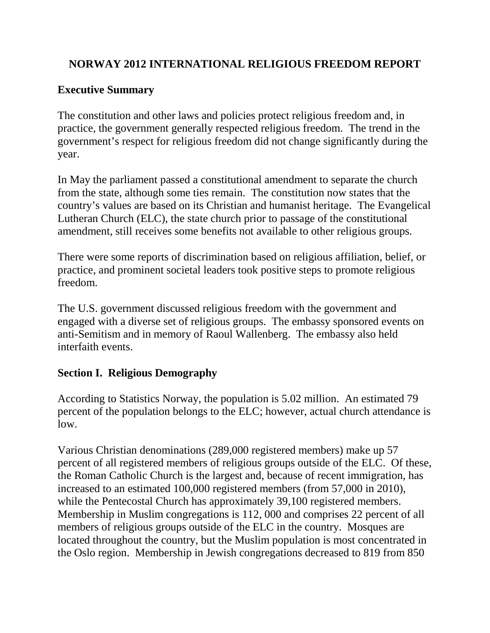# **NORWAY 2012 INTERNATIONAL RELIGIOUS FREEDOM REPORT**

# **Executive Summary**

The constitution and other laws and policies protect religious freedom and, in practice, the government generally respected religious freedom. The trend in the government's respect for religious freedom did not change significantly during the year.

In May the parliament passed a constitutional amendment to separate the church from the state, although some ties remain. The constitution now states that the country's values are based on its Christian and humanist heritage. The Evangelical Lutheran Church (ELC), the state church prior to passage of the constitutional amendment, still receives some benefits not available to other religious groups.

There were some reports of discrimination based on religious affiliation, belief, or practice, and prominent societal leaders took positive steps to promote religious freedom.

The U.S. government discussed religious freedom with the government and engaged with a diverse set of religious groups. The embassy sponsored events on anti-Semitism and in memory of Raoul Wallenberg. The embassy also held interfaith events.

# **Section I. Religious Demography**

According to Statistics Norway, the population is 5.02 million. An estimated 79 percent of the population belongs to the ELC; however, actual church attendance is low.

Various Christian denominations (289,000 registered members) make up 57 percent of all registered members of religious groups outside of the ELC. Of these, the Roman Catholic Church is the largest and, because of recent immigration, has increased to an estimated 100,000 registered members (from 57,000 in 2010), while the Pentecostal Church has approximately 39,100 registered members. Membership in Muslim congregations is 112, 000 and comprises 22 percent of all members of religious groups outside of the ELC in the country. Mosques are located throughout the country, but the Muslim population is most concentrated in the Oslo region. Membership in Jewish congregations decreased to 819 from 850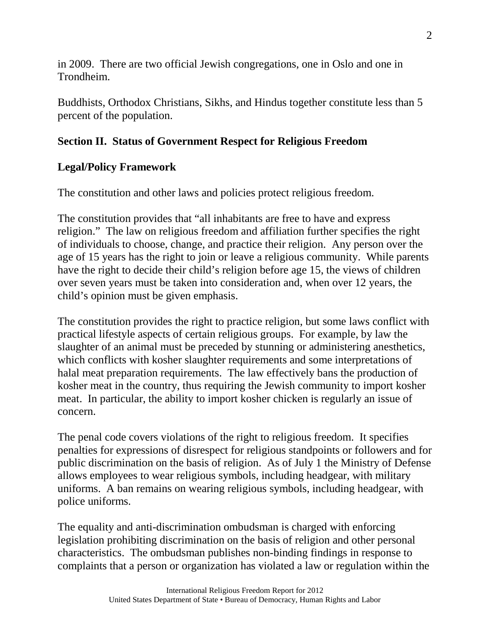in 2009. There are two official Jewish congregations, one in Oslo and one in Trondheim.

Buddhists, Orthodox Christians, Sikhs, and Hindus together constitute less than 5 percent of the population.

# **Section II. Status of Government Respect for Religious Freedom**

## **Legal/Policy Framework**

The constitution and other laws and policies protect religious freedom.

The constitution provides that "all inhabitants are free to have and express religion." The law on religious freedom and affiliation further specifies the right of individuals to choose, change, and practice their religion. Any person over the age of 15 years has the right to join or leave a religious community. While parents have the right to decide their child's religion before age 15, the views of children over seven years must be taken into consideration and, when over 12 years, the child's opinion must be given emphasis.

The constitution provides the right to practice religion, but some laws conflict with practical lifestyle aspects of certain religious groups. For example, by law the slaughter of an animal must be preceded by stunning or administering anesthetics, which conflicts with kosher slaughter requirements and some interpretations of halal meat preparation requirements. The law effectively bans the production of kosher meat in the country, thus requiring the Jewish community to import kosher meat. In particular, the ability to import kosher chicken is regularly an issue of concern.

The penal code covers violations of the right to religious freedom. It specifies penalties for expressions of disrespect for religious standpoints or followers and for public discrimination on the basis of religion. As of July 1 the Ministry of Defense allows employees to wear religious symbols, including headgear, with military uniforms. A ban remains on wearing religious symbols, including headgear, with police uniforms.

The equality and anti-discrimination ombudsman is charged with enforcing legislation prohibiting discrimination on the basis of religion and other personal characteristics. The ombudsman publishes non-binding findings in response to complaints that a person or organization has violated a law or regulation within the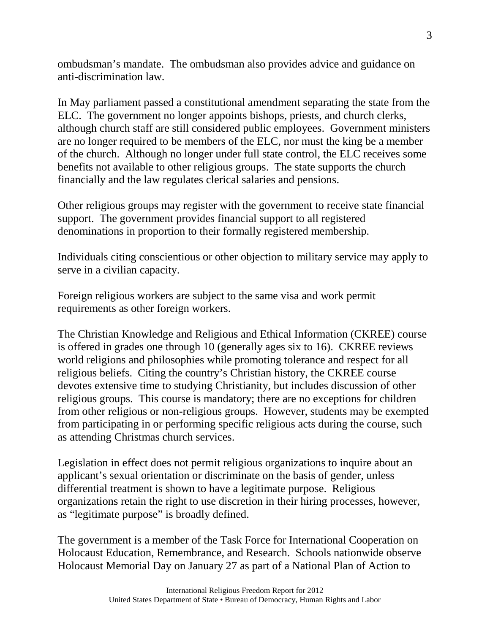ombudsman's mandate. The ombudsman also provides advice and guidance on anti-discrimination law.

In May parliament passed a constitutional amendment separating the state from the ELC. The government no longer appoints bishops, priests, and church clerks, although church staff are still considered public employees. Government ministers are no longer required to be members of the ELC, nor must the king be a member of the church. Although no longer under full state control, the ELC receives some benefits not available to other religious groups. The state supports the church financially and the law regulates clerical salaries and pensions.

Other religious groups may register with the government to receive state financial support. The government provides financial support to all registered denominations in proportion to their formally registered membership.

Individuals citing conscientious or other objection to military service may apply to serve in a civilian capacity.

Foreign religious workers are subject to the same visa and work permit requirements as other foreign workers.

The Christian Knowledge and Religious and Ethical Information (CKREE) course is offered in grades one through 10 (generally ages six to 16). CKREE reviews world religions and philosophies while promoting tolerance and respect for all religious beliefs. Citing the country's Christian history, the CKREE course devotes extensive time to studying Christianity, but includes discussion of other religious groups. This course is mandatory; there are no exceptions for children from other religious or non-religious groups. However, students may be exempted from participating in or performing specific religious acts during the course, such as attending Christmas church services.

Legislation in effect does not permit religious organizations to inquire about an applicant's sexual orientation or discriminate on the basis of gender, unless differential treatment is shown to have a legitimate purpose. Religious organizations retain the right to use discretion in their hiring processes, however, as "legitimate purpose" is broadly defined.

The government is a member of the Task Force for International Cooperation on Holocaust Education, Remembrance, and Research. Schools nationwide observe Holocaust Memorial Day on January 27 as part of a National Plan of Action to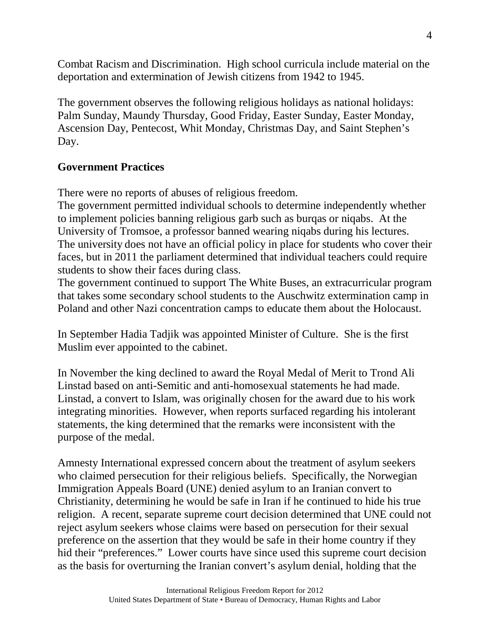Combat Racism and Discrimination. High school curricula include material on the deportation and extermination of Jewish citizens from 1942 to 1945.

The government observes the following religious holidays as national holidays: Palm Sunday, Maundy Thursday, Good Friday, Easter Sunday, Easter Monday, Ascension Day, Pentecost, Whit Monday, Christmas Day, and Saint Stephen's Day.

### **Government Practices**

There were no reports of abuses of religious freedom.

The government permitted individual schools to determine independently whether to implement policies banning religious garb such as burqas or niqabs. At the University of Tromsoe, a professor banned wearing niqabs during his lectures. The university does not have an official policy in place for students who cover their faces, but in 2011 the parliament determined that individual teachers could require students to show their faces during class.

The government continued to support The White Buses, an extracurricular program that takes some secondary school students to the Auschwitz extermination camp in Poland and other Nazi concentration camps to educate them about the Holocaust.

In September Hadia Tadjik was appointed Minister of Culture. She is the first Muslim ever appointed to the cabinet.

In November the king declined to award the Royal Medal of Merit to Trond Ali Linstad based on anti-Semitic and anti-homosexual statements he had made. Linstad, a convert to Islam, was originally chosen for the award due to his work integrating minorities. However, when reports surfaced regarding his intolerant statements, the king determined that the remarks were inconsistent with the purpose of the medal.

Amnesty International expressed concern about the treatment of asylum seekers who claimed persecution for their religious beliefs. Specifically, the Norwegian Immigration Appeals Board (UNE) denied asylum to an Iranian convert to Christianity, determining he would be safe in Iran if he continued to hide his true religion. A recent, separate supreme court decision determined that UNE could not reject asylum seekers whose claims were based on persecution for their sexual preference on the assertion that they would be safe in their home country if they hid their "preferences." Lower courts have since used this supreme court decision as the basis for overturning the Iranian convert's asylum denial, holding that the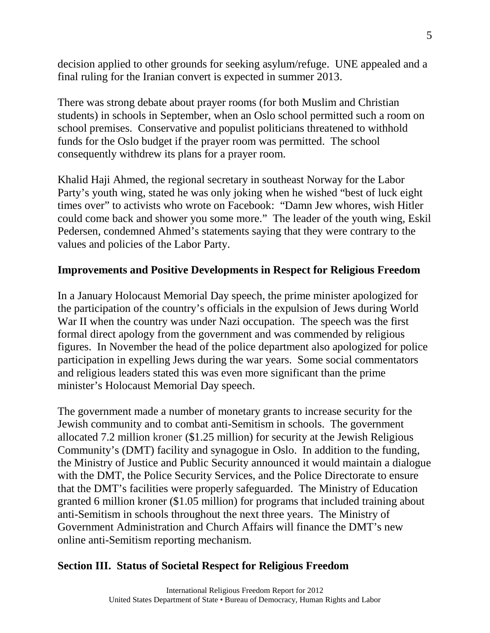decision applied to other grounds for seeking asylum/refuge. UNE appealed and a final ruling for the Iranian convert is expected in summer 2013.

There was strong debate about prayer rooms (for both Muslim and Christian students) in schools in September, when an Oslo school permitted such a room on school premises. Conservative and populist politicians threatened to withhold funds for the Oslo budget if the prayer room was permitted. The school consequently withdrew its plans for a prayer room.

Khalid Haji Ahmed, the regional secretary in southeast Norway for the Labor Party's youth wing, stated he was only joking when he wished "best of luck eight times over" to activists who wrote on Facebook: "Damn Jew whores, wish Hitler could come back and shower you some more." The leader of the youth wing, Eskil Pedersen, condemned Ahmed's statements saying that they were contrary to the values and policies of the Labor Party.

### **Improvements and Positive Developments in Respect for Religious Freedom**

In a January Holocaust Memorial Day speech, the prime minister apologized for the participation of the country's officials in the expulsion of Jews during World War II when the country was under Nazi occupation. The speech was the first formal direct apology from the government and was commended by religious figures. In November the head of the police department also apologized for police participation in expelling Jews during the war years. Some social commentators and religious leaders stated this was even more significant than the prime minister's Holocaust Memorial Day speech.

The government made a number of monetary grants to increase security for the Jewish community and to combat anti-Semitism in schools. The government allocated 7.2 million kroner (\$1.25 million) for security at the Jewish Religious Community's (DMT) facility and synagogue in Oslo. In addition to the funding, the Ministry of Justice and Public Security announced it would maintain a dialogue with the DMT, the Police Security Services, and the Police Directorate to ensure that the DMT's facilities were properly safeguarded. The Ministry of Education granted 6 million kroner (\$1.05 million) for programs that included training about anti-Semitism in schools throughout the next three years. The Ministry of Government Administration and Church Affairs will finance the DMT's new online anti-Semitism reporting mechanism.

### **Section III. Status of Societal Respect for Religious Freedom**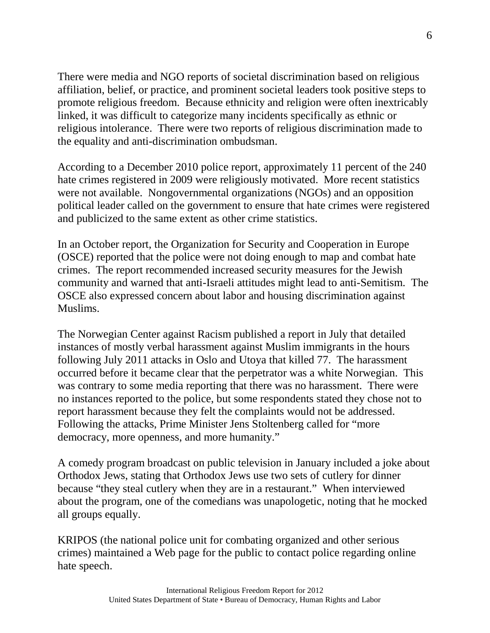There were media and NGO reports of societal discrimination based on religious affiliation, belief, or practice, and prominent societal leaders took positive steps to promote religious freedom. Because ethnicity and religion were often inextricably linked, it was difficult to categorize many incidents specifically as ethnic or religious intolerance. There were two reports of religious discrimination made to the equality and anti-discrimination ombudsman.

According to a December 2010 police report, approximately 11 percent of the 240 hate crimes registered in 2009 were religiously motivated. More recent statistics were not available. Nongovernmental organizations (NGOs) and an opposition political leader called on the government to ensure that hate crimes were registered and publicized to the same extent as other crime statistics.

In an October report, the Organization for Security and Cooperation in Europe (OSCE) reported that the police were not doing enough to map and combat hate crimes. The report recommended increased security measures for the Jewish community and warned that anti-Israeli attitudes might lead to anti-Semitism. The OSCE also expressed concern about labor and housing discrimination against Muslims.

The Norwegian Center against Racism published a report in July that detailed instances of mostly verbal harassment against Muslim immigrants in the hours following July 2011 attacks in Oslo and Utoya that killed 77. The harassment occurred before it became clear that the perpetrator was a white Norwegian. This was contrary to some media reporting that there was no harassment. There were no instances reported to the police, but some respondents stated they chose not to report harassment because they felt the complaints would not be addressed. Following the attacks, Prime Minister Jens Stoltenberg called for "more democracy, more openness, and more humanity."

A comedy program broadcast on public television in January included a joke about Orthodox Jews, stating that Orthodox Jews use two sets of cutlery for dinner because "they steal cutlery when they are in a restaurant." When interviewed about the program, one of the comedians was unapologetic, noting that he mocked all groups equally.

KRIPOS (the national police unit for combating organized and other serious crimes) maintained a Web page for the public to contact police regarding online hate speech.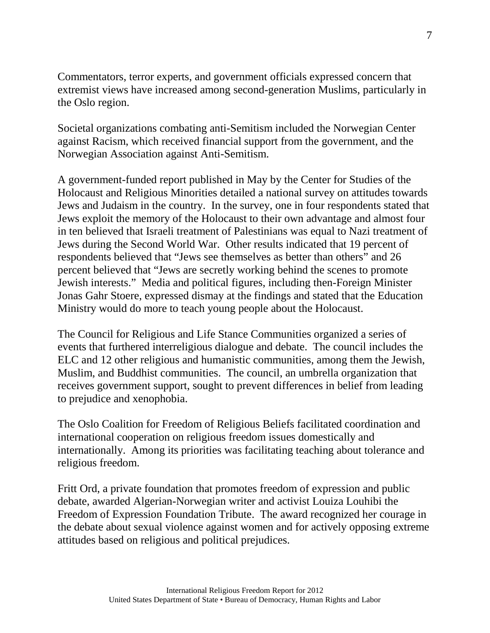Commentators, terror experts, and government officials expressed concern that extremist views have increased among second-generation Muslims, particularly in the Oslo region.

Societal organizations combating anti-Semitism included the Norwegian Center against Racism, which received financial support from the government, and the Norwegian Association against Anti-Semitism.

A government-funded report published in May by the Center for Studies of the Holocaust and Religious Minorities detailed a national survey on attitudes towards Jews and Judaism in the country. In the survey, one in four respondents stated that Jews exploit the memory of the Holocaust to their own advantage and almost four in ten believed that Israeli treatment of Palestinians was equal to Nazi treatment of Jews during the Second World War. Other results indicated that 19 percent of respondents believed that "Jews see themselves as better than others" and 26 percent believed that "Jews are secretly working behind the scenes to promote Jewish interests." Media and political figures, including then-Foreign Minister Jonas Gahr Stoere, expressed dismay at the findings and stated that the Education Ministry would do more to teach young people about the Holocaust.

The Council for Religious and Life Stance Communities organized a series of events that furthered interreligious dialogue and debate. The council includes the ELC and 12 other religious and humanistic communities, among them the Jewish, Muslim, and Buddhist communities. The council, an umbrella organization that receives government support, sought to prevent differences in belief from leading to prejudice and xenophobia.

The Oslo Coalition for Freedom of Religious Beliefs facilitated coordination and international cooperation on religious freedom issues domestically and internationally. Among its priorities was facilitating teaching about tolerance and religious freedom.

Fritt Ord, a private foundation that promotes freedom of expression and public debate, awarded Algerian-Norwegian writer and activist Louiza Louhibi the Freedom of Expression Foundation Tribute. The award recognized her courage in the debate about sexual violence against women and for actively opposing extreme attitudes based on religious and political prejudices.